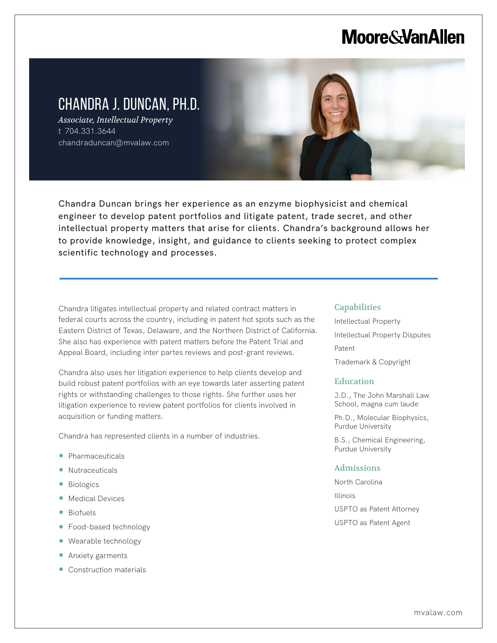# **Moore & Van Allen**

# CHANDRA J. DUNCAN, PH.D.

*Associate, Intellectual Property* t 704.331.3644 chandraduncan@mvalaw.com

Chandra Duncan brings her experience as an enzyme biophysicist and chemical engineer to develop patent portfolios and litigate patent, trade secret, and other intellectual property matters that arise for clients. Chandra's background allows her to provide knowledge, insight, and guidance to clients seeking to protect complex scientific technology and processes.

Chandra litigates intellectual property and related contract matters in federal courts across the country, including in patent hot spots such as the Eastern District of Texas, Delaware, and the Northern District of California. She also has experience with patent matters before the Patent Trial and Appeal Board, including inter partes reviews and post-grant reviews.

Chandra also uses her litigation experience to help clients develop and build robust patent portfolios with an eye towards later asserting patent rights or withstanding challenges to those rights. She further uses her litigation experience to review patent portfolios for clients involved in acquisition or funding matters.

Chandra has represented clients in a number of industries.

- Pharmaceuticals
- Nutraceuticals
- Biologics

l,

- Medical Devices
- Biofuels
- Food-based technology
- Wearable technology
- Anxiety garments
- Construction materials

#### **Capabilities**

Intellectual Property Intellectual Property Disputes Patent Trademark & Copyright

#### **Education**

J.D., The John Marshall Law School, magna cum laude

Ph.D., Molecular Biophysics, Purdue University

B.S., Chemical Engineering, Purdue University

#### Admissions

North Carolina Illinois USPTO as Patent Attorney USPTO as Patent Agent